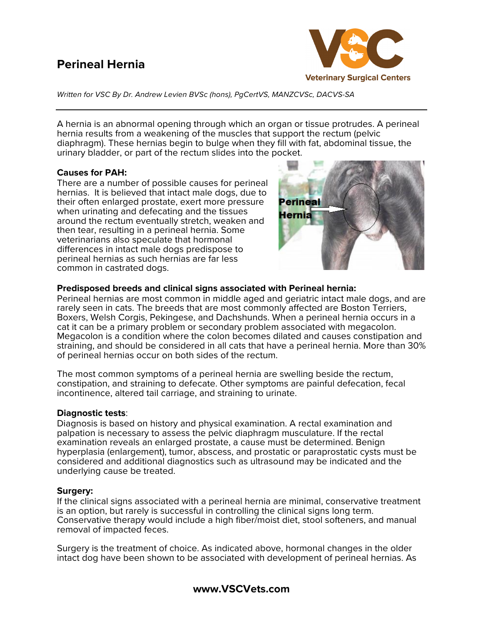# **Perineal Hernia**



*Written for VSC By Dr. Andrew Levien BVSc (hons), PgCertVS, MANZCVSc, DACVS-SA*

A hernia is an abnormal opening through which an organ or tissue protrudes. A perineal hernia results from a weakening of the muscles that support the rectum (pelvic diaphragm). These hernias begin to bulge when they fill with fat, abdominal tissue, the urinary bladder, or part of the rectum slides into the pocket.

# **Causes for PAH:**

There are a number of possible causes for perineal hernias. It is believed that intact male dogs, due to their often enlarged prostate, exert more pressure when urinating and defecating and the tissues around the rectum eventually stretch, weaken and then tear, resulting in a perineal hernia. Some veterinarians also speculate that hormonal differences in intact male dogs predispose to perineal hernias as such hernias are far less common in castrated dogs.



# **Predisposed breeds and clinical signs associated with Perineal hernia:**

Perineal hernias are most common in middle aged and geriatric intact male dogs, and are rarely seen in cats. The breeds that are most commonly affected are Boston Terriers, Boxers, Welsh Corgis, Pekingese, and Dachshunds. When a perineal hernia occurs in a cat it can be a primary problem or secondary problem associated with megacolon. Megacolon is a condition where the colon becomes dilated and causes constipation and straining, and should be considered in all cats that have a perineal hernia. More than 30% of perineal hernias occur on both sides of the rectum.

The most common symptoms of a perineal hernia are swelling beside the rectum, constipation, and straining to defecate. Other symptoms are painful defecation, fecal incontinence, altered tail carriage, and straining to urinate.

## **Diagnostic tests**:

Diagnosis is based on history and physical examination. A rectal examination and palpation is necessary to assess the pelvic diaphragm musculature. If the rectal examination reveals an enlarged prostate, a cause must be determined. Benign hyperplasia (enlargement), tumor, abscess, and prostatic or paraprostatic cysts must be considered and additional diagnostics such as ultrasound may be indicated and the underlying cause be treated.

## **Surgery:**

If the clinical signs associated with a perineal hernia are minimal, conservative treatment is an option, but rarely is successful in controlling the clinical signs long term. Conservative therapy would include a high fiber/moist diet, stool softeners, and manual removal of impacted feces.

Surgery is the treatment of choice. As indicated above, hormonal changes in the older intact dog have been shown to be associated with development of perineal hernias. As

**www.VSCVets.com**